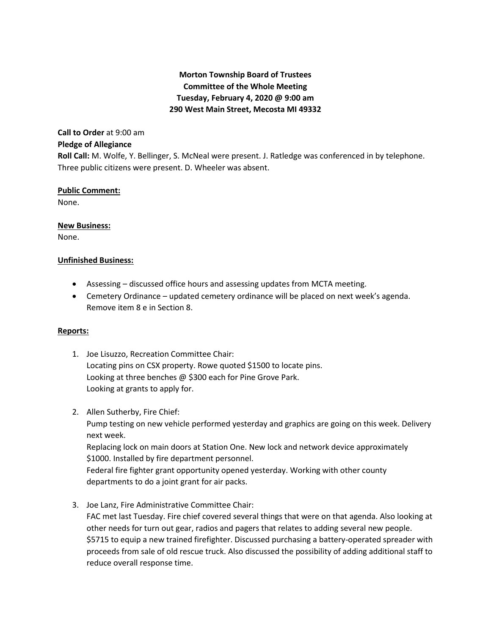## **Morton Township Board of Trustees Committee of the Whole Meeting Tuesday, February 4, 2020 @ 9:00 am 290 West Main Street, Mecosta MI 49332**

# **Call to Order** at 9:00 am

## **Pledge of Allegiance**

**Roll Call:** M. Wolfe, Y. Bellinger, S. McNeal were present. J. Ratledge was conferenced in by telephone. Three public citizens were present. D. Wheeler was absent.

### **Public Comment:**

None.

### **New Business:**

None.

#### **Unfinished Business:**

- Assessing discussed office hours and assessing updates from MCTA meeting.
- Cemetery Ordinance updated cemetery ordinance will be placed on next week's agenda. Remove item 8 e in Section 8.

### **Reports:**

- 1. Joe Lisuzzo, Recreation Committee Chair: Locating pins on CSX property. Rowe quoted \$1500 to locate pins. Looking at three benches @ \$300 each for Pine Grove Park. Looking at grants to apply for.
- 2. Allen Sutherby, Fire Chief:

Pump testing on new vehicle performed yesterday and graphics are going on this week. Delivery next week.

Replacing lock on main doors at Station One. New lock and network device approximately \$1000. Installed by fire department personnel.

Federal fire fighter grant opportunity opened yesterday. Working with other county departments to do a joint grant for air packs.

3. Joe Lanz, Fire Administrative Committee Chair:

FAC met last Tuesday. Fire chief covered several things that were on that agenda. Also looking at other needs for turn out gear, radios and pagers that relates to adding several new people. \$5715 to equip a new trained firefighter. Discussed purchasing a battery-operated spreader with proceeds from sale of old rescue truck. Also discussed the possibility of adding additional staff to reduce overall response time.